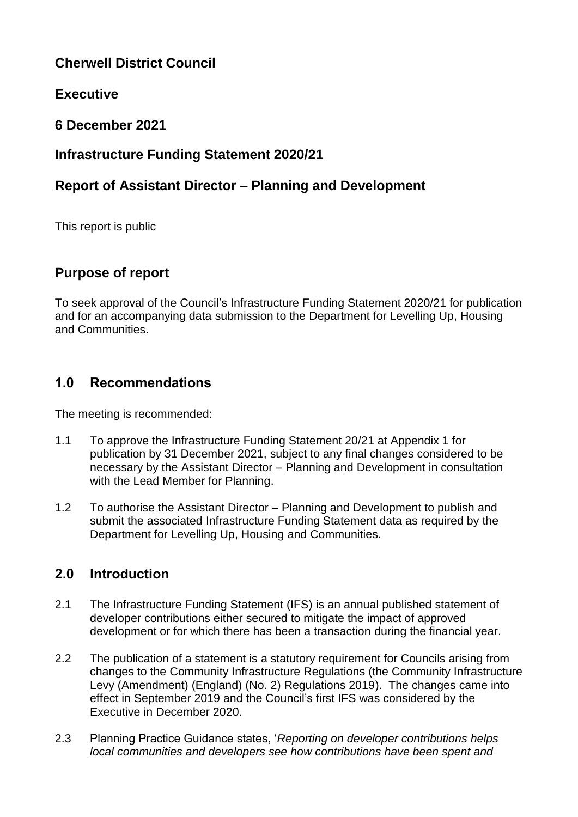# **Cherwell District Council**

# **Executive**

# **6 December 2021**

# **Infrastructure Funding Statement 2020/21**

# **Report of Assistant Director – Planning and Development**

This report is public

## **Purpose of report**

To seek approval of the Council's Infrastructure Funding Statement 2020/21 for publication and for an accompanying data submission to the Department for Levelling Up, Housing and Communities.

## **1.0 Recommendations**

The meeting is recommended:

- 1.1 To approve the Infrastructure Funding Statement 20/21 at Appendix 1 for publication by 31 December 2021, subject to any final changes considered to be necessary by the Assistant Director – Planning and Development in consultation with the Lead Member for Planning.
- 1.2 To authorise the Assistant Director Planning and Development to publish and submit the associated Infrastructure Funding Statement data as required by the Department for Levelling Up, Housing and Communities.

# **2.0 Introduction**

- 2.1 The Infrastructure Funding Statement (IFS) is an annual published statement of developer contributions either secured to mitigate the impact of approved development or for which there has been a transaction during the financial year.
- 2.2 The publication of a statement is a statutory requirement for Councils arising from changes to the Community Infrastructure Regulations (the Community Infrastructure Levy (Amendment) (England) (No. 2) Regulations 2019). The changes came into effect in September 2019 and the Council's first IFS was considered by the Executive in December 2020.
- 2.3 Planning Practice Guidance states, '*Reporting on developer contributions helps local communities and developers see how contributions have been spent and*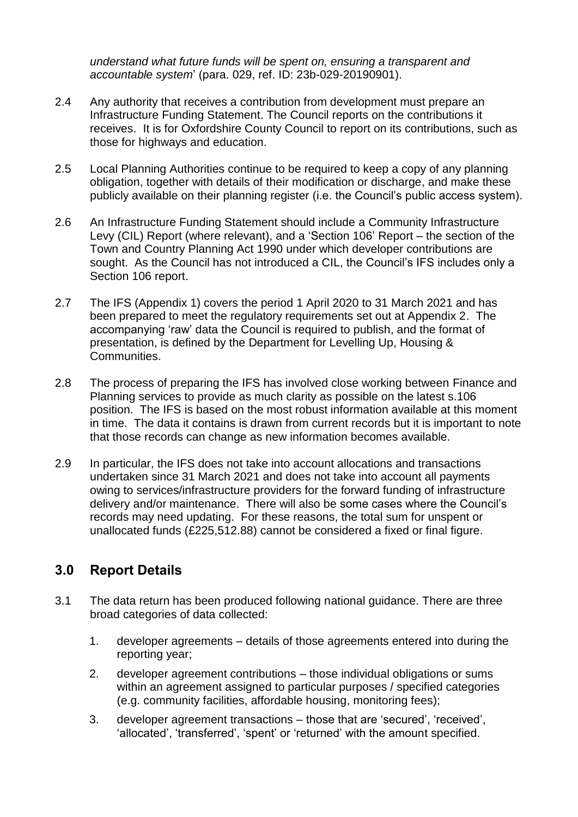*understand what future funds will be spent on, ensuring a transparent and accountable system*' (para. 029, ref. ID: 23b-029-20190901).

- 2.4 Any authority that receives a contribution from development must prepare an Infrastructure Funding Statement. The Council reports on the contributions it receives. It is for Oxfordshire County Council to report on its contributions, such as those for highways and education.
- 2.5 Local Planning Authorities continue to be required to keep a copy of any planning obligation, together with details of their modification or discharge, and make these publicly available on their planning register (i.e. the Council's public access system).
- 2.6 An Infrastructure Funding Statement should include a Community Infrastructure Levy (CIL) Report (where relevant), and a 'Section 106' Report – the section of the Town and Country Planning Act 1990 under which developer contributions are sought. As the Council has not introduced a CIL, the Council's IFS includes only a Section 106 report.
- 2.7 The IFS (Appendix 1) covers the period 1 April 2020 to 31 March 2021 and has been prepared to meet the regulatory requirements set out at Appendix 2. The accompanying 'raw' data the Council is required to publish, and the format of presentation, is defined by the Department for Levelling Up, Housing & Communities.
- 2.8 The process of preparing the IFS has involved close working between Finance and Planning services to provide as much clarity as possible on the latest s.106 position. The IFS is based on the most robust information available at this moment in time. The data it contains is drawn from current records but it is important to note that those records can change as new information becomes available.
- 2.9 In particular, the IFS does not take into account allocations and transactions undertaken since 31 March 2021 and does not take into account all payments owing to services/infrastructure providers for the forward funding of infrastructure delivery and/or maintenance. There will also be some cases where the Council's records may need updating. For these reasons, the total sum for unspent or unallocated funds (£225,512.88) cannot be considered a fixed or final figure.

## **3.0 Report Details**

- 3.1 The data return has been produced following national guidance. There are three broad categories of data collected:
	- 1. developer agreements details of those agreements entered into during the reporting year;
	- 2. developer agreement contributions those individual obligations or sums within an agreement assigned to particular purposes / specified categories (e.g. community facilities, affordable housing, monitoring fees);
	- 3. developer agreement transactions those that are 'secured', 'received', 'allocated', 'transferred', 'spent' or 'returned' with the amount specified.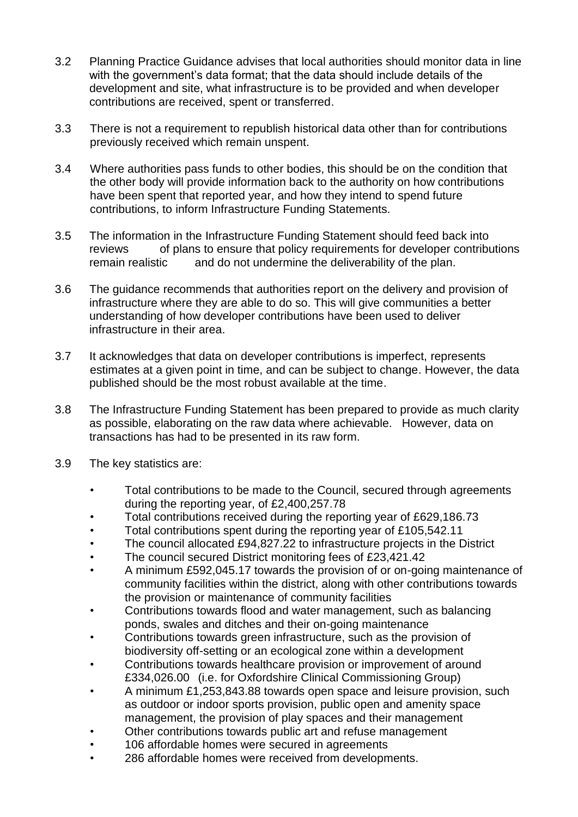- 3.2 Planning Practice Guidance advises that local authorities should monitor data in line with the government's data format; that the data should include details of the development and site, what infrastructure is to be provided and when developer contributions are received, spent or transferred.
- 3.3 There is not a requirement to republish historical data other than for contributions previously received which remain unspent.
- 3.4 Where authorities pass funds to other bodies, this should be on the condition that the other body will provide information back to the authority on how contributions have been spent that reported year, and how they intend to spend future contributions, to inform Infrastructure Funding Statements.
- 3.5 The information in the Infrastructure Funding Statement should feed back into reviews of plans to ensure that policy requirements for developer contributions remain realistic and do not undermine the deliverability of the plan.
- 3.6 The guidance recommends that authorities report on the delivery and provision of infrastructure where they are able to do so. This will give communities a better understanding of how developer contributions have been used to deliver infrastructure in their area.
- 3.7 It acknowledges that data on developer contributions is imperfect, represents estimates at a given point in time, and can be subject to change. However, the data published should be the most robust available at the time.
- 3.8 The Infrastructure Funding Statement has been prepared to provide as much clarity as possible, elaborating on the raw data where achievable. However, data on transactions has had to be presented in its raw form.
- 3.9 The key statistics are:
	- Total contributions to be made to the Council, secured through agreements during the reporting year, of £2,400,257.78
	- Total contributions received during the reporting year of £629,186.73
	- Total contributions spent during the reporting year of £105,542.11
	- The council allocated £94,827.22 to infrastructure projects in the District
	- The council secured District monitoring fees of £23,421.42
	- A minimum £592,045.17 towards the provision of or on-going maintenance of community facilities within the district, along with other contributions towards the provision or maintenance of community facilities
	- Contributions towards flood and water management, such as balancing ponds, swales and ditches and their on-going maintenance
	- Contributions towards green infrastructure, such as the provision of biodiversity off-setting or an ecological zone within a development
	- Contributions towards healthcare provision or improvement of around £334,026.00 (i.e. for Oxfordshire Clinical Commissioning Group)
	- A minimum £1,253,843.88 towards open space and leisure provision, such as outdoor or indoor sports provision, public open and amenity space management, the provision of play spaces and their management
	- Other contributions towards public art and refuse management
	- 106 affordable homes were secured in agreements
	- 286 affordable homes were received from developments.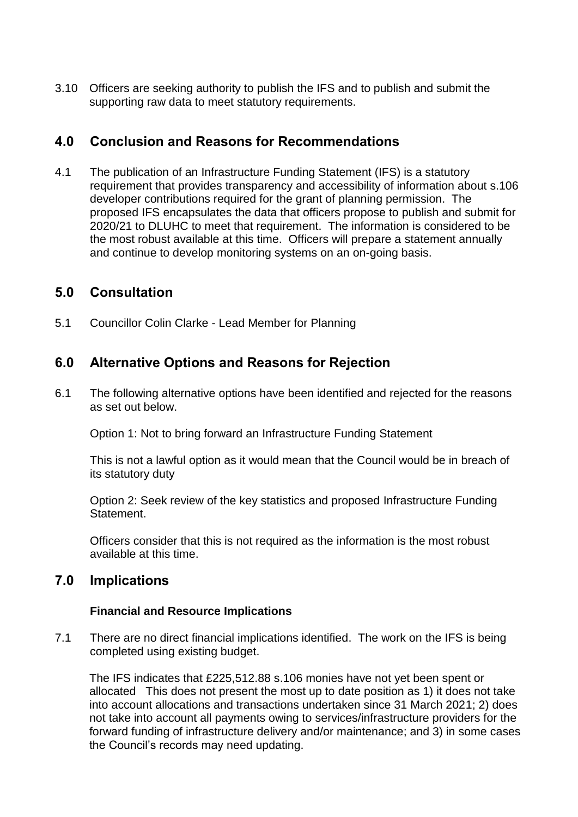3.10 Officers are seeking authority to publish the IFS and to publish and submit the supporting raw data to meet statutory requirements.

## **4.0 Conclusion and Reasons for Recommendations**

4.1 The publication of an Infrastructure Funding Statement (IFS) is a statutory requirement that provides transparency and accessibility of information about s.106 developer contributions required for the grant of planning permission. The proposed IFS encapsulates the data that officers propose to publish and submit for 2020/21 to DLUHC to meet that requirement. The information is considered to be the most robust available at this time. Officers will prepare a statement annually and continue to develop monitoring systems on an on-going basis.

## **5.0 Consultation**

5.1 Councillor Colin Clarke - Lead Member for Planning

## **6.0 Alternative Options and Reasons for Rejection**

6.1 The following alternative options have been identified and rejected for the reasons as set out below.

Option 1: Not to bring forward an Infrastructure Funding Statement

This is not a lawful option as it would mean that the Council would be in breach of its statutory duty

Option 2: Seek review of the key statistics and proposed Infrastructure Funding Statement.

Officers consider that this is not required as the information is the most robust available at this time.

## **7.0 Implications**

### **Financial and Resource Implications**

7.1 There are no direct financial implications identified. The work on the IFS is being completed using existing budget.

The IFS indicates that £225,512.88 s.106 monies have not yet been spent or allocated This does not present the most up to date position as 1) it does not take into account allocations and transactions undertaken since 31 March 2021; 2) does not take into account all payments owing to services/infrastructure providers for the forward funding of infrastructure delivery and/or maintenance; and 3) in some cases the Council's records may need updating.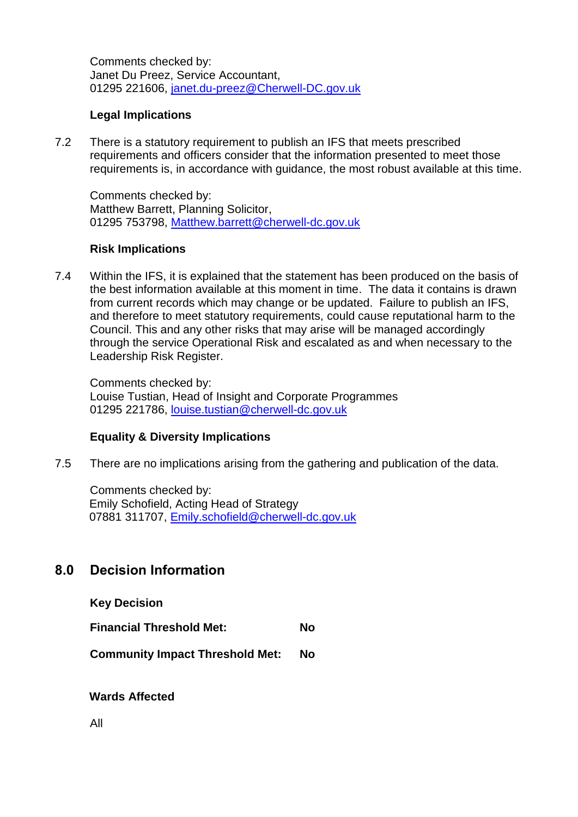Comments checked by: Janet Du Preez, Service Accountant, 01295 221606, [janet.du-preez@Cherwell-DC.gov.uk](mailto:janet.du-preez@Cherwell-DC.gov.uk)

### **Legal Implications**

7.2 There is a statutory requirement to publish an IFS that meets prescribed requirements and officers consider that the information presented to meet those requirements is, in accordance with guidance, the most robust available at this time.

Comments checked by: Matthew Barrett, Planning Solicitor, [01295](tel:01295) 753798, [Matthew.barrett@cherwell-dc.gov.uk](mailto:Matthew.barrett@cherwell-dc.gov.uk)

#### **Risk Implications**

7.4 Within the IFS, it is explained that the statement has been produced on the basis of the best information available at this moment in time. The data it contains is drawn from current records which may change or be updated. Failure to publish an IFS, and therefore to meet statutory requirements, could cause reputational harm to the Council. This and any other risks that may arise will be managed accordingly through the service Operational Risk and escalated as and when necessary to the Leadership Risk Register.

Comments checked by: Louise Tustian, Head of Insight and Corporate Programmes 01295 221786, [louise.tustian@cherwell-dc.gov.uk](mailto:louise.tustian@cherwell-dc.gov.uk)

### **Equality & Diversity Implications**

7.5 There are no implications arising from the gathering and publication of the data.

Comments checked by: Emily Schofield, Acting Head of Strategy 07881 311707, [Emily.schofield@cherwell-dc.gov.uk](mailto:Emily.schofield@cherwell-dc.gov.uk)

## **8.0 Decision Information**

**Key Decision**

**Financial Threshold Met: No**

**Community Impact Threshold Met: No**

**Wards Affected**

All